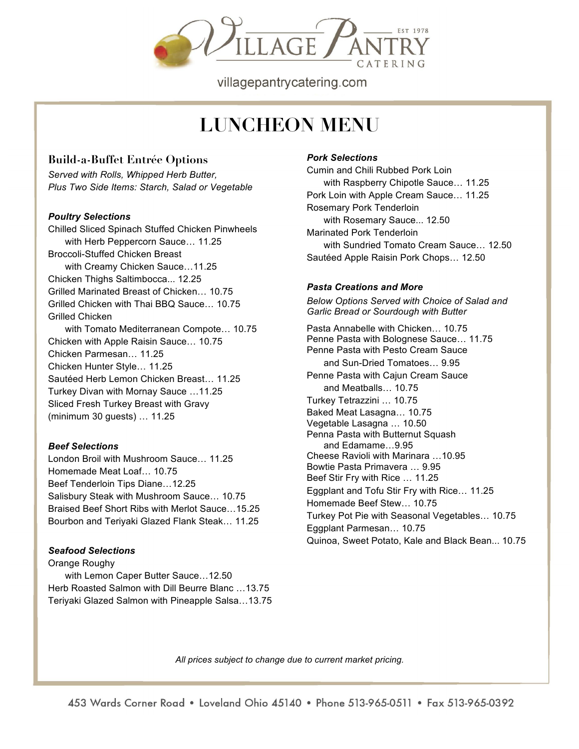

villagepantrycatering.com

# **LUNCHEON MENU**

## **Build-a-Buffet Entrée Options**

*Served with Rolls, Whipped Herb Butter, Plus Two Side Items: Starch, Salad or Vegetable*

#### *Poultry Selections*

Chilled Sliced Spinach Stuffed Chicken Pinwheels with Herb Peppercorn Sauce… 11.25 Broccoli-Stuffed Chicken Breast with Creamy Chicken Sauce…11.25 Chicken Thighs Saltimbocca... 12.25 Grilled Marinated Breast of Chicken… 10.75 Grilled Chicken with Thai BBQ Sauce… 10.75 Grilled Chicken with Tomato Mediterranean Compote… 10.75 Chicken with Apple Raisin Sauce… 10.75 Chicken Parmesan… 11.25 Chicken Hunter Style… 11.25 Sautéed Herb Lemon Chicken Breast… 11.25 Turkey Divan with Mornay Sauce …11.25 Sliced Fresh Turkey Breast with Gravy (minimum 30 guests) … 11.25

#### *Beef Selections*

London Broil with Mushroom Sauce… 11.25 Homemade Meat Loaf… 10.75 Beef Tenderloin Tips Diane…12.25 Salisbury Steak with Mushroom Sauce… 10.75 Braised Beef Short Ribs with Merlot Sauce…15.25 Bourbon and Teriyaki Glazed Flank Steak… 11.25

#### *Seafood Selections*

Orange Roughy with Lemon Caper Butter Sauce…12.50 Herb Roasted Salmon with Dill Beurre Blanc …13.75 Teriyaki Glazed Salmon with Pineapple Salsa…13.75

#### *Pork Selections*

Cumin and Chili Rubbed Pork Loin with Raspberry Chipotle Sauce… 11.25 Pork Loin with Apple Cream Sauce… 11.25 Rosemary Pork Tenderloin with Rosemary Sauce... 12.50 Marinated Pork Tenderloin with Sundried Tomato Cream Sauce… 12.50 Sautéed Apple Raisin Pork Chops… 12.50

#### *Pasta Creations and More*

*Below Options Served with Choice of Salad and Garlic Bread or Sourdough with Butter*

Pasta Annabelle with Chicken… 10.75 Penne Pasta with Bolognese Sauce… 11.75 Penne Pasta with Pesto Cream Sauce and Sun-Dried Tomatoes… 9.95 Penne Pasta with Cajun Cream Sauce and Meatballs… 10.75 Turkey Tetrazzini … 10.75 Baked Meat Lasagna… 10.75 Vegetable Lasagna … 10.50 Penna Pasta with Butternut Squash and Edamame…9.95 Cheese Ravioli with Marinara …10.95 Bowtie Pasta Primavera … 9.95 Beef Stir Fry with Rice … 11.25 Eggplant and Tofu Stir Fry with Rice… 11.25 Homemade Beef Stew… 10.75 Turkey Pot Pie with Seasonal Vegetables… 10.75 Eggplant Parmesan… 10.75 Quinoa, Sweet Potato, Kale and Black Bean... 10.75

*All prices subject to change due to current market pricing.*